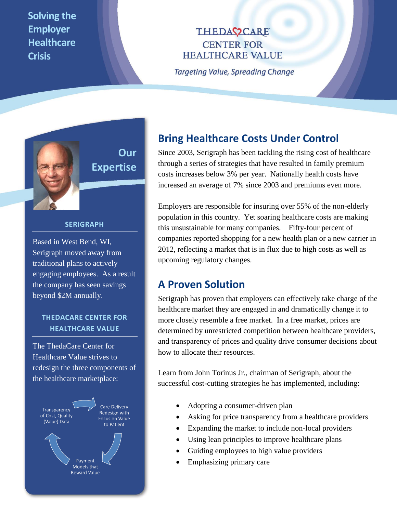**Solving the Employer Healthcare Crisis**

**THEDAC2CARE CENTER FOR HEALTHCARE VALUE** 

**Targeting Value, Spreading Change** 



# **Our Expertise**

#### **SERIGRAPH**

Based in West Bend, WI, Serigraph moved away from traditional plans to actively engaging employees. As a result the company has seen savings beyond \$2M annually.

## **THEDACARE CENTER FOR HEALTHCARE VALUE**

The ThedaCare Center for Healthcare Value strives to redesign the three components of the healthcare marketplace:



## **Bring Healthcare Costs Under Control**

Since 2003, Serigraph has been tackling the rising cost of healthcare through a series of strategies that have resulted in family premium costs increases below 3% per year. Nationally health costs have increased an average of 7% since 2003 and premiums even more.

Employers are responsible for insuring over 55% of the non-elderly population in this country. Yet soaring healthcare costs are making this unsustainable for many companies. Fifty-four percent of companies reported shopping for a new health plan or a new carrier in 2012, reflecting a market that is in flux due to high costs as well as upcoming regulatory changes.

## **A Proven Solution**

Serigraph has proven that employers can effectively take charge of the healthcare market they are engaged in and dramatically change it to more closely resemble a free market. In a free market, prices are determined by unrestricted competition between healthcare providers, and transparency of prices and quality drive consumer decisions about how to allocate their resources.

Learn from John Torinus Jr., chairman of Serigraph, about the successful cost-cutting strategies he has implemented, including:

- Adopting a consumer-driven plan
- Asking for price transparency from a healthcare providers
- Expanding the market to include non-local providers
- Using lean principles to improve healthcare plans
- Guiding employees to high value providers
- Emphasizing primary care